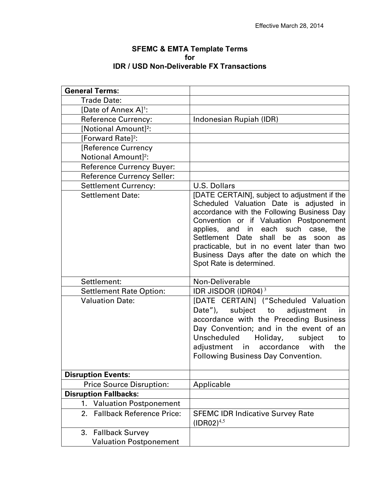| <b>SFEMC &amp; EMTA Template Terms</b>           |
|--------------------------------------------------|
| f∩r                                              |
| <b>IDR / USD Non-Deliverable FX Transactions</b> |

| <b>General Terms:</b>                  |                                                                                                                                                                                                                                                                                                                                                                                                          |
|----------------------------------------|----------------------------------------------------------------------------------------------------------------------------------------------------------------------------------------------------------------------------------------------------------------------------------------------------------------------------------------------------------------------------------------------------------|
| <b>Trade Date:</b>                     |                                                                                                                                                                                                                                                                                                                                                                                                          |
| [Date of Annex A] <sup>1</sup> :       |                                                                                                                                                                                                                                                                                                                                                                                                          |
| <b>Reference Currency:</b>             | Indonesian Rupiah (IDR)                                                                                                                                                                                                                                                                                                                                                                                  |
| [Notional Amount] <sup>2</sup> :       |                                                                                                                                                                                                                                                                                                                                                                                                          |
| [Forward Rate] <sup>2</sup> :          |                                                                                                                                                                                                                                                                                                                                                                                                          |
| [Reference Currency                    |                                                                                                                                                                                                                                                                                                                                                                                                          |
| Notional Amount] <sup>2</sup> :        |                                                                                                                                                                                                                                                                                                                                                                                                          |
| <b>Reference Currency Buyer:</b>       |                                                                                                                                                                                                                                                                                                                                                                                                          |
| <b>Reference Currency Seller:</b>      |                                                                                                                                                                                                                                                                                                                                                                                                          |
| <b>Settlement Currency:</b>            | <b>U.S. Dollars</b>                                                                                                                                                                                                                                                                                                                                                                                      |
| <b>Settlement Date:</b>                | [DATE CERTAIN], subject to adjustment if the<br>Scheduled Valuation Date is adjusted in<br>accordance with the Following Business Day<br>Convention or if Valuation Postponement<br>applies, and in each such case,<br>the<br>Settlement Date<br>shall<br>be<br>as<br>soon<br>as<br>practicable, but in no event later than two<br>Business Days after the date on which the<br>Spot Rate is determined. |
| Settlement:                            | Non-Deliverable                                                                                                                                                                                                                                                                                                                                                                                          |
| <b>Settlement Rate Option:</b>         | IDR JISDOR (IDR04) <sup>3</sup>                                                                                                                                                                                                                                                                                                                                                                          |
| <b>Valuation Date:</b>                 | [DATE CERTAIN] ("Scheduled Valuation<br>Date"), subject to adjustment<br>in in<br>accordance with the Preceding Business<br>Day Convention; and in the event of an<br>Unscheduled<br>Holiday,<br>subject<br>to<br>adjustment in accordance with<br>the<br><b>Following Business Day Convention.</b>                                                                                                      |
| <b>Disruption Events:</b>              |                                                                                                                                                                                                                                                                                                                                                                                                          |
| <b>Price Source Disruption:</b>        | Applicable                                                                                                                                                                                                                                                                                                                                                                                               |
| <b>Disruption Fallbacks:</b>           |                                                                                                                                                                                                                                                                                                                                                                                                          |
| <b>Valuation Postponement</b><br>1.    |                                                                                                                                                                                                                                                                                                                                                                                                          |
| <b>Fallback Reference Price:</b><br>2. | <b>SFEMC IDR Indicative Survey Rate</b><br>$(IDR02)^{4,5}$                                                                                                                                                                                                                                                                                                                                               |
| 3.<br><b>Fallback Survey</b>           |                                                                                                                                                                                                                                                                                                                                                                                                          |
| <b>Valuation Postponement</b>          |                                                                                                                                                                                                                                                                                                                                                                                                          |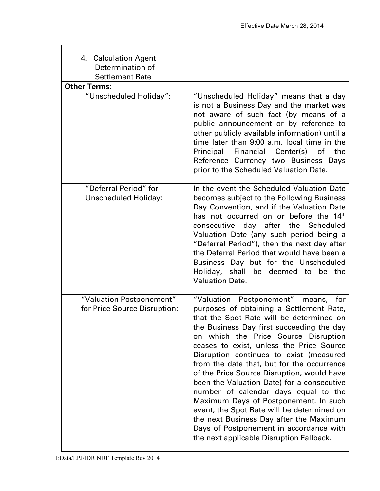| 4. Calculation Agent<br>Determination of<br><b>Settlement Rate</b> |                                                                                                                                                                                                                                                                                                                                                                                                                                                                                                                                                                                                                                                                                                                          |
|--------------------------------------------------------------------|--------------------------------------------------------------------------------------------------------------------------------------------------------------------------------------------------------------------------------------------------------------------------------------------------------------------------------------------------------------------------------------------------------------------------------------------------------------------------------------------------------------------------------------------------------------------------------------------------------------------------------------------------------------------------------------------------------------------------|
| <b>Other Terms:</b>                                                |                                                                                                                                                                                                                                                                                                                                                                                                                                                                                                                                                                                                                                                                                                                          |
| "Unscheduled Holiday":                                             | "Unscheduled Holiday" means that a day<br>is not a Business Day and the market was<br>not aware of such fact (by means of a<br>public announcement or by reference to<br>other publicly available information) until a<br>time later than 9:00 a.m. local time in the<br>Principal<br>Financial Center(s)<br>of<br>the<br>Reference Currency two Business Days<br>prior to the Scheduled Valuation Date.                                                                                                                                                                                                                                                                                                                 |
| "Deferral Period" for<br><b>Unscheduled Holiday:</b>               | In the event the Scheduled Valuation Date<br>becomes subject to the Following Business<br>Day Convention, and if the Valuation Date<br>has not occurred on or before the 14 <sup>th</sup><br>consecutive day after<br>the Scheduled<br>Valuation Date (any such period being a<br>"Deferral Period"), then the next day after<br>the Deferral Period that would have been a<br>Business Day but for the Unscheduled<br>Holiday, shall be deemed to be the<br><b>Valuation Date,</b>                                                                                                                                                                                                                                      |
| "Valuation Postponement"<br>for Price Source Disruption:           | "Valuation Postponement"<br>means,<br>for<br>purposes of obtaining a Settlement Rate,<br>that the Spot Rate will be determined on<br>the Business Day first succeeding the day<br>on which the Price Source Disruption<br>ceases to exist, unless the Price Source<br>Disruption continues to exist (measured<br>from the date that, but for the occurrence<br>of the Price Source Disruption, would have<br>been the Valuation Date) for a consecutive<br>number of calendar days equal to the<br>Maximum Days of Postponement. In such<br>event, the Spot Rate will be determined on<br>the next Business Day after the Maximum<br>Days of Postponement in accordance with<br>the next applicable Disruption Fallback. |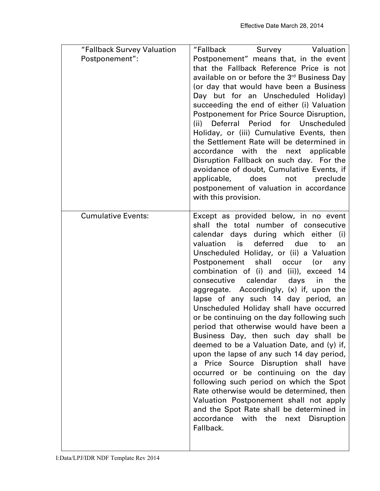| "Fallback Survey Valuation | "Fallback Survey Valuation                                                                                                                                                                                                                                                                                                                                                                                                                                                                                                                                                                                                                                                                                                                                                                                                                                                                                                                                                                                                                 |
|----------------------------|--------------------------------------------------------------------------------------------------------------------------------------------------------------------------------------------------------------------------------------------------------------------------------------------------------------------------------------------------------------------------------------------------------------------------------------------------------------------------------------------------------------------------------------------------------------------------------------------------------------------------------------------------------------------------------------------------------------------------------------------------------------------------------------------------------------------------------------------------------------------------------------------------------------------------------------------------------------------------------------------------------------------------------------------|
| Postponement":             | Postponement" means that, in the event<br>that the Fallback Reference Price is not<br>available on or before the 3rd Business Day<br>(or day that would have been a Business<br>Day but for an Unscheduled Holiday)<br>succeeding the end of either (i) Valuation<br>Postponement for Price Source Disruption,<br>for Unscheduled<br>Deferral Period<br>(ii)<br>Holiday, or (iii) Cumulative Events, then<br>the Settlement Rate will be determined in<br>accordance with the next applicable<br>Disruption Fallback on such day. For the<br>avoidance of doubt, Cumulative Events, if<br>applicable,<br>does<br>not<br>preclude<br>postponement of valuation in accordance<br>with this provision.                                                                                                                                                                                                                                                                                                                                        |
| <b>Cumulative Events:</b>  | Except as provided below, in no event<br>shall the total number of consecutive<br>calendar days during which either<br>(i)<br>valuation is<br>deferred due<br>to<br>an<br>Unscheduled Holiday, or (ii) a Valuation<br>Postponement shall occur<br>(or<br>any<br>combination of (i) and (ii)), exceed<br>- 14<br>consecutive<br>calendar<br>days in<br>the<br>aggregate. Accordingly, (x) if, upon the<br>lapse of any such 14 day period, an<br>Unscheduled Holiday shall have occurred<br>or be continuing on the day following such<br>period that otherwise would have been a<br>Business Day, then such day shall be<br>deemed to be a Valuation Date, and (y) if,<br>upon the lapse of any such 14 day period,<br>a Price Source Disruption shall have<br>occurred or be continuing on the day<br>following such period on which the Spot<br>Rate otherwise would be determined, then<br>Valuation Postponement shall not apply<br>and the Spot Rate shall be determined in<br>accordance with the<br>next<br>Disruption<br>Fallback. |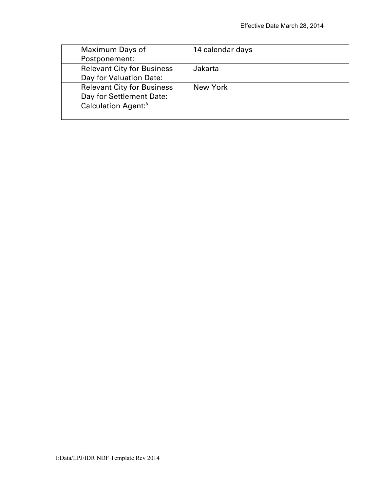| Maximum Days of                   | 14 calendar days |
|-----------------------------------|------------------|
| Postponement:                     |                  |
| <b>Relevant City for Business</b> | Jakarta          |
| Day for Valuation Date:           |                  |
| <b>Relevant City for Business</b> | New York         |
| Day for Settlement Date:          |                  |
| Calculation Agent: <sup>6</sup>   |                  |
|                                   |                  |